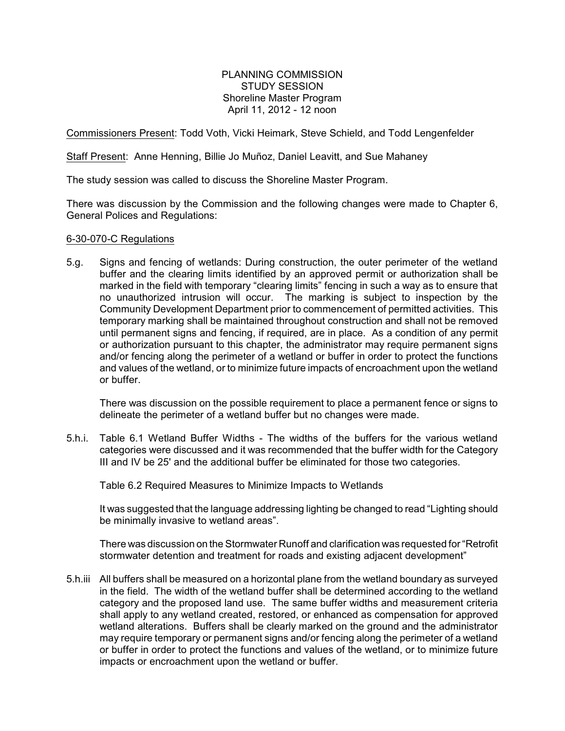PLANNING COMMISSION STUDY SESSION Shoreline Master Program April 11, 2012 - 12 noon

Commissioners Present: Todd Voth, Vicki Heimark, Steve Schield, and Todd Lengenfelder

Staff Present: Anne Henning, Billie Jo Muñoz, Daniel Leavitt, and Sue Mahaney

The study session was called to discuss the Shoreline Master Program.

There was discussion by the Commission and the following changes were made to Chapter 6, General Polices and Regulations:

# 6-30-070-C Regulations

5.g. Signs and fencing of wetlands: During construction, the outer perimeter of the wetland buffer and the clearing limits identified by an approved permit or authorization shall be marked in the field with temporary "clearing limits" fencing in such a way as to ensure that no unauthorized intrusion will occur. The marking is subject to inspection by the Community Development Department prior to commencement of permitted activities. This temporary marking shall be maintained throughout construction and shall not be removed until permanent signs and fencing, if required, are in place. As a condition of any permit or authorization pursuant to this chapter, the administrator may require permanent signs and/or fencing along the perimeter of a wetland or buffer in order to protect the functions and values of the wetland, or to minimize future impacts of encroachment upon the wetland or buffer.

There was discussion on the possible requirement to place a permanent fence or signs to delineate the perimeter of a wetland buffer but no changes were made.

5.h.i. Table 6.1 Wetland Buffer Widths - The widths of the buffers for the various wetland categories were discussed and it was recommended that the buffer width for the Category III and IV be 25' and the additional buffer be eliminated for those two categories.

Table 6.2 Required Measures to Minimize Impacts to Wetlands

It was suggested that the language addressing lighting be changed to read "Lighting should be minimally invasive to wetland areas".

There was discussion on the Stormwater Runoff and clarification was requested for "Retrofit stormwater detention and treatment for roads and existing adjacent development"

5.h.iii All buffers shall be measured on a horizontal plane from the wetland boundary as surveyed in the field. The width of the wetland buffer shall be determined according to the wetland category and the proposed land use. The same buffer widths and measurement criteria shall apply to any wetland created, restored, or enhanced as compensation for approved wetland alterations. Buffers shall be clearly marked on the ground and the administrator may require temporary or permanent signs and/or fencing along the perimeter of a wetland or buffer in order to protect the functions and values of the wetland, or to minimize future impacts or encroachment upon the wetland or buffer.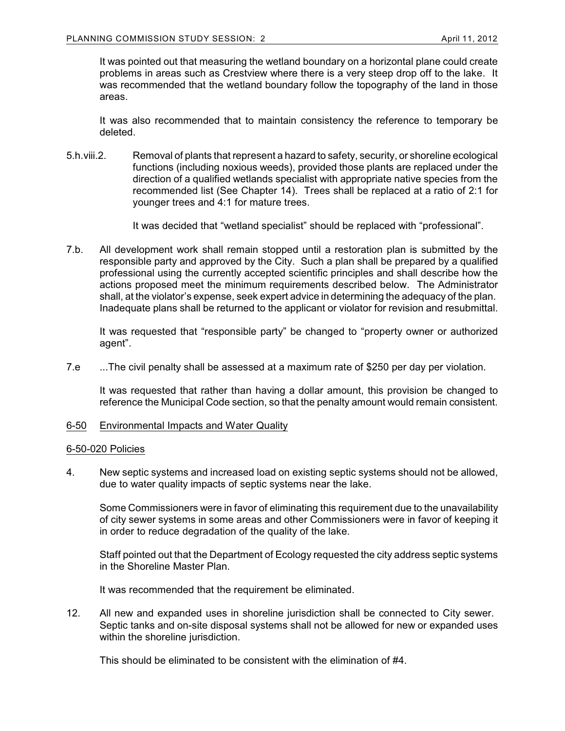It was pointed out that measuring the wetland boundary on a horizontal plane could create problems in areas such as Crestview where there is a very steep drop off to the lake. It was recommended that the wetland boundary follow the topography of the land in those areas.

It was also recommended that to maintain consistency the reference to temporary be deleted.

5.h.viii.2. Removal of plants that represent a hazard to safety, security, or shoreline ecological functions (including noxious weeds), provided those plants are replaced under the direction of a qualified wetlands specialist with appropriate native species from the recommended list (See Chapter 14). Trees shall be replaced at a ratio of 2:1 for younger trees and 4:1 for mature trees.

It was decided that "wetland specialist" should be replaced with "professional".

7.b. All development work shall remain stopped until a restoration plan is submitted by the responsible party and approved by the City. Such a plan shall be prepared by a qualified professional using the currently accepted scientific principles and shall describe how the actions proposed meet the minimum requirements described below. The Administrator shall, at the violator's expense, seek expert advice in determining the adequacy of the plan. Inadequate plans shall be returned to the applicant or violator for revision and resubmittal.

It was requested that "responsible party" be changed to "property owner or authorized agent".

7.e ...The civil penalty shall be assessed at a maximum rate of \$250 per day per violation.

It was requested that rather than having a dollar amount, this provision be changed to reference the Municipal Code section, so that the penalty amount would remain consistent.

6-50 Environmental Impacts and Water Quality

# 6-50-020 Policies

4. New septic systems and increased load on existing septic systems should not be allowed, due to water quality impacts of septic systems near the lake.

Some Commissioners were in favor of eliminating this requirement due to the unavailability of city sewer systems in some areas and other Commissioners were in favor of keeping it in order to reduce degradation of the quality of the lake.

Staff pointed out that the Department of Ecology requested the city address septic systems in the Shoreline Master Plan.

It was recommended that the requirement be eliminated.

12. All new and expanded uses in shoreline jurisdiction shall be connected to City sewer. Septic tanks and on-site disposal systems shall not be allowed for new or expanded uses within the shoreline jurisdiction.

This should be eliminated to be consistent with the elimination of #4.